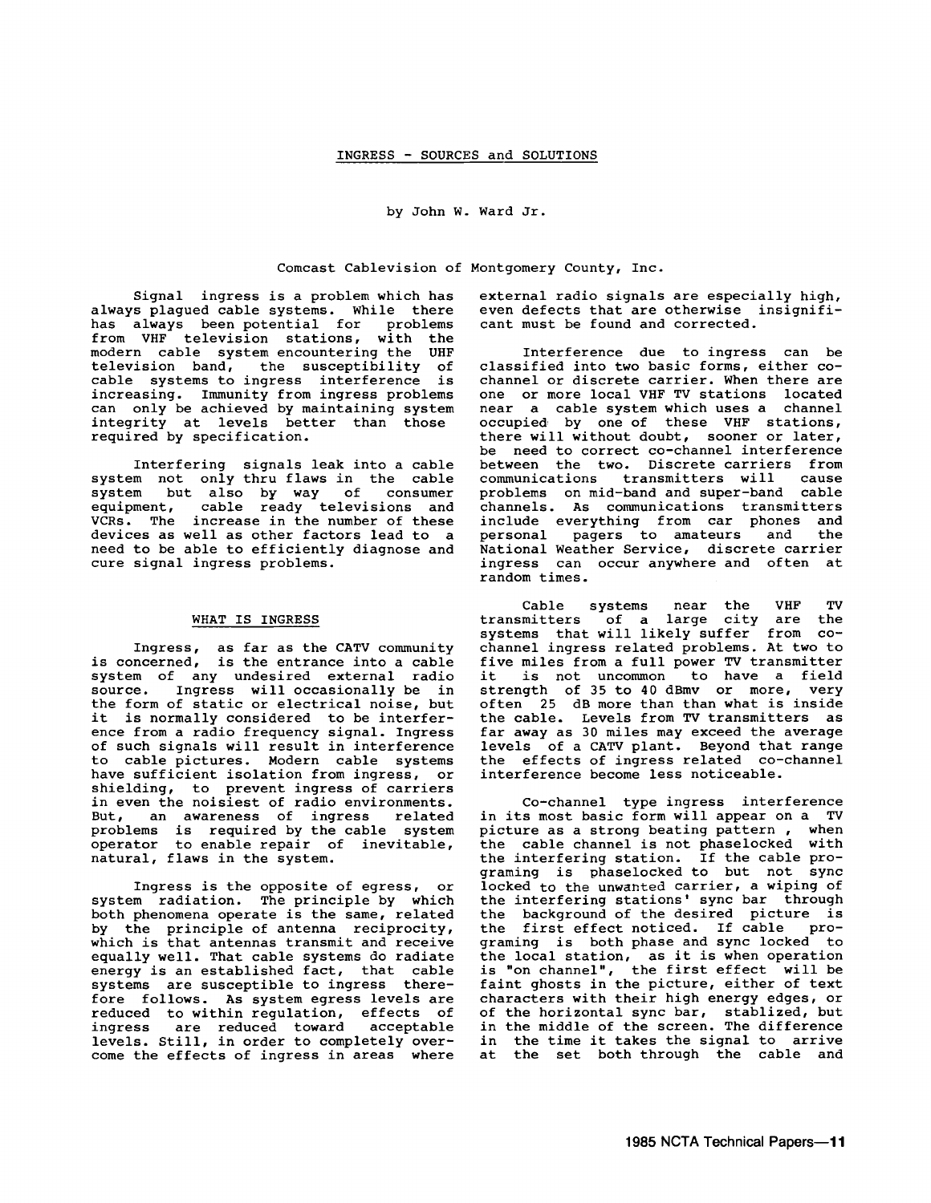by John w. Ward Jr.

Comcast Cablevision of Montgomery County, Inc.

Signal ingress is a problem which has always plagued cable systems. While there has always been potential for problems from VHF television stations, with the modern cable system encountering the UHF television band, the susceptibility of cable systems to ingress interference is increasing. Immunity from ingress problems can only be achieved by maintaining system integrity at levels better than those required by specification.

Interfering signals leak into a cable system not only thru flaws in the cable system but also by way of consumer equipment, cable ready televisions and VCRs. The increase in the number of these devices as well as other factors lead to a need to be able to efficiently diagnose and cure signal ingress problems.

# WHAT IS INGRESS

Ingress, as far as the CATV community is concerned, is the entrance into a cable<br>system of any undesired external radio system of any undesired external radio source. Ingress will occasionally be in source: Ingress with occasionally be in the form of static or electrical noise, but<br>it is normally considered to be interfer-<br>ence from a radio frequency signal. Ingress of such signals will result in interference to cable pictures. Modern cable systems<br>have sufficient isolation from ingress, or shielding, to prevent ingress of carriers in even the noisiest of radio environments. But, an awareness of ingress related problems is required by the cable system operator to enable repair of inevitable, natural, flaws in the system.

Ingress is the opposite of egress, or system radiation. The principle by which both phenomena operate is the same, related by the principle of antenna reciprocity, which is that antennas transmit and receive equally well. That cable systems do radiate equally well. That cable systems as fuddate systems are susceptible to ingress therefore follows. As system egress levels are reduced to within regulation, effects of ingress are reduced toward acceptable<br>levels. Still, in order to completely over-<br>come the effects of ingress in areas where external radio signals are especially high, even defects that are otherwise insignificant must be found and corrected.

Interference due to ingress can be<br>classified into two basic forms, either cochannel or discrete carrier. When there are<br>one or more local VHF TV stations located<br>near a cable system which uses a channel occupied by one of these VHF stations, there will without doubt, sooner or later, be need to correct co-channel interference between the two. Discrete carriers from<br>communications transmitters will cause problems on mid-band and super-band cable channels. As communications transmitters include everything from car phones and personal pagers to amateurs and the National Weather Service, discrete carrier ingress can occur anywhere and often at random times.

Cable systems near the VHF TV transmitters of a large city are the systems that will likely suffer from co- channel ingress related problems. At two to five miles from a full power TV transmitter five miles from a full power TV transmitter<br>it is not uncommon to have a field strength of 35 to 40 dBmv or more, very often 25 dB more than than what is inside the cable. Levels from TV transmitters as far away as 30 miles may exceed the average levels of a CATV plant. Beyond that range the effects of ingress related co-channel interference become less noticeable.

Co-channel type ingress interference in its most basic form will appear on a TV picture as a strong beating pattern , when the cable channel is not phaselocked with the interfering station. If the cable programing is phaselocked to but not sync locked to the unwanted carrier, a wiping of the interfering stations' sync bar through the background of the desired picture is the first effect noticed. If cable programing is both phase and sync locked to the local station, as it is when operation is "on channel", the first effect will be faint ghosts in the picture, either of text<br>characters with their high energy edges, or characters with their high energy edges, or of the horizontal sync bar, stablized, but in the middle of the screen. The difference in the time it takes the signal to arrive at the set both through the cable and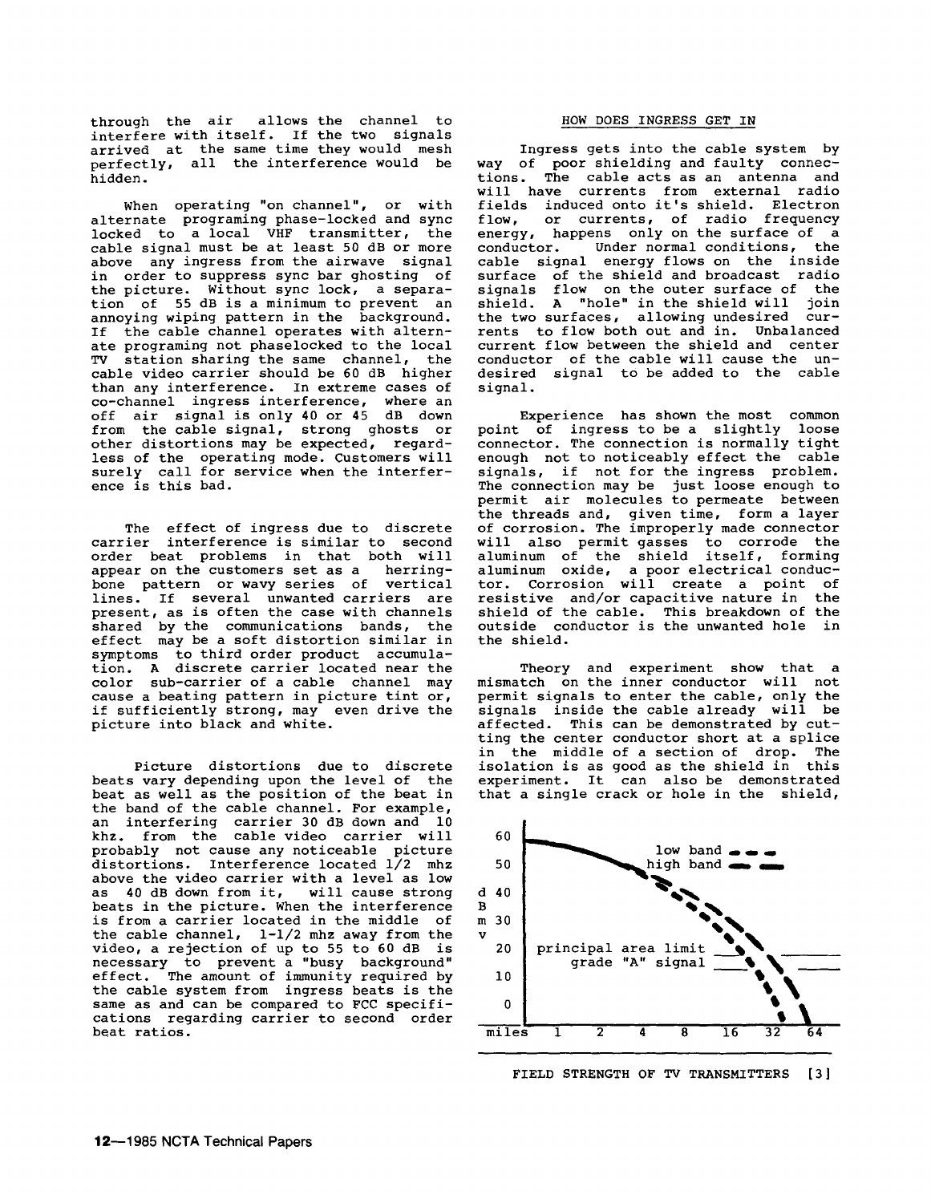through the air allows the channel to interfere with itself. If the two signals arrived at the same time they would mesh perfectly, all the interference would be hidden.

When operating "on channel", or with alternate programing phase-locked and sync locked to a local VHF transmitter, the<br>cable signal must be at least 50 dB or more above any ingress from the airwave signal in order to suppress sync bar ghosting of the picture. Without sync lock, a separation of 55 dB is a minimum to prevent an annoying wiping pattern in the background. If the cable channel operates with alternate programing not phaselocked to the local TV station sharing the same channel, the cable video carrier should be 60 dB higher than any interference. In extreme cases of co-channel ingress interference, where an off air signal is only 40 or 45 dB down from the cable signal, strong ghosts or other distortions may be expected, regardless of the operating mode. Customers will surely call for service when the interfer-<br>ence is this bad.

The effect of ingress due to discrete carrier interference is similar to second order beat problems in that both will appear on the customers set as a herringbone pattern or wavy series of vertical lines. If several unwanted carriers are present, as is often the case with channels shared by the communications bands, the effect may be a soft distortion similar in symptoms to third order product accumulation. A discrete carrier located near the color sub-carrier of a cable channel may cause a beating pattern in picture tint or, if sufficiently strong, may even drive the picture into black and white.

Picture distortions due to discrete beats vary depending upon the level of the beat as well as the position of the beat in the band of the cable channel. For example, an interfering carrier 30 dB down and 10 khz. from the cable video carrier will probably not cause any noticeable picture distortions. Interference located 1/2 mhz above the video carrier with a level as low as 40 dB down from it, will cause strong beats in the picture. When the interference is from a carrier located in the middle of the cable channel, 1-1/2 mhz away from the video, a rejection of up to 55 to 60 dB is necessary to prevent a "busy background" effect. The amount of immunity required by the cable system from ingress beats is the same as and can be compared to FCC specifications regarding carrier to second order beat ratios.

### HOW DOES INGRESS GET IN

Ingress gets into the cable system by way of poor shielding and faulty connec- tions. The cable acts as an antenna and will have currents from external radio fields induced onto it's shield. Electron<br>flow, or currents, of radio frequency or currents, of radio frequency energy, happens only on the surface of a conductor. Under normal conditions, the cable signal energy flows on the inside surface of the shield and broadcast radio signals flow on the outer surface of the shield. A "hole" in the shield will join the two surfaces, allowing undesired cur-<br>rents to flow both out and in. Unbalanced current flow between the shield and center<br>conductor of the cable will cause the undesired signal to be added to the cable signal.

Experience has shown the most common point of ingress to be a slightly loose connector. The connection is normally tight enough not to noticeably effect the cable signals, if not for the ingress problem. The connection may be just loose enough to permit air molecules to permeate between the threads and, given time, form a layer of corrosion. The improperly made connector will also permit gasses to corrode the aluminum of the shield itself, forming aluminum oxide, a poor electrical conductor. Corrosion will create a point of resistive and/or capacitive nature in the shield of the cable. This breakdown of the outside conductor is the unwanted hole in the shield.

Theory and experiment show that a mismatch on the inner conductor will not permit signals to enter the cable, only the signals inside the cable already will be affected. This can be demonstrated by cutting the center conductor short at a splice in the middle of a section of drop. The isolation is as good as the shield in this experiment. It can also be demonstrated that a single crack or hole in the shield,



FIELD STRENGTH OF TV TRANSMITTERS [3]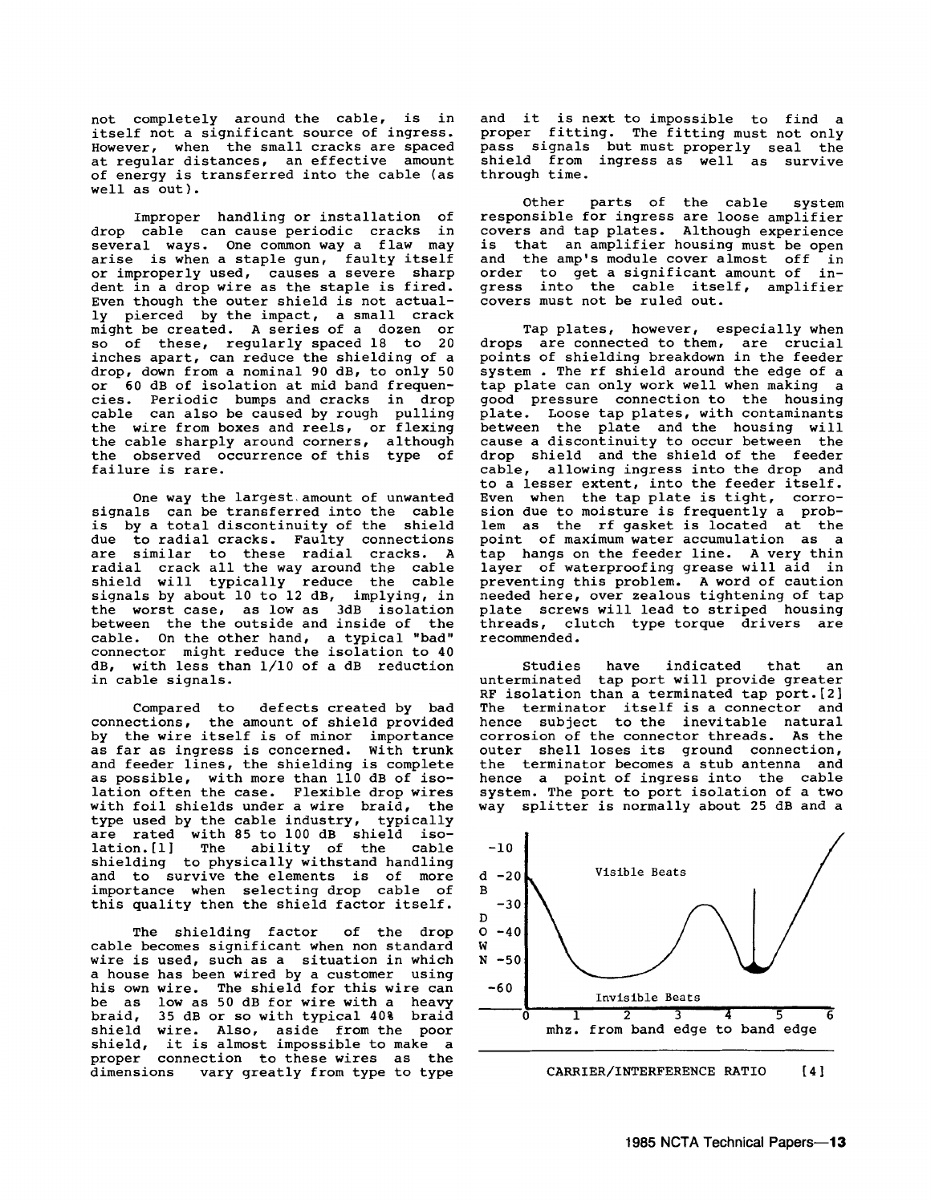not completely around the cable, is in itself not a significant source of ingress. However, when the small cracks are spaced at regular distances, an effective amount of energy is transferred into the cable (as well as out).

Improper handling or installation of drop cable can cause periodic cracks in several ways. One common way a flaw may arise is when a staple gun, faulty itself or improperly used, causes a severe sharp dent in a drop wire as the staple is fired. Even though the outer shield is not actually pierced by the impact, a small crack might be created. A series of a dozen or<br>so of these, regularly spaced 18 to 20 inches apart, can reduce the shielding of a drop, down from a nominal 90 dB, to only 50 or 60 dB of isolation at mid band frequencies. Periodic bumps and cracks in drop cable can also be caused by rough pulling the wire from boxes and reels, or flexing the cable sharply around corners, although the observed occurrence of this type of failure is rare.

One way the largest.amount of unwanted signals can be transferred into the cable is by a total discontinuity of the shield due to radial cracks. Faulty connections<br>are similar to these radial cracks. A radial crack all the way around the cable shield will typically reduce the cable signals by about 10 to 12 dB, implying, in the worst case, as low as 3dB isolation between the the outside and inside of the cable. On the other hand, a typical "bad" connector might reduce the isolation to 40 dB, with less than 1/10 of a dB reduction in cable signals.

Compared to defects created by bad connections, the amount of shield provided by the wire itself is of minor importance as far as ingress is concerned. With trunk and feeder lines, the shielding is complete as possible, with more than 110 dB of isolation often the case. Flexible drop wires with foil shields under a wire braid, the<br>type used by the cable industry, typically type used by the cable industry, typically are rated with 85 to 100 dB shield isolation.[l) The ability of the cable lation. [1] The ability of the cable<br>shielding to physically withstand handling and to survive the elements is of more importance when selecting drop cable of this quality then the shield factor itself.

The shielding factor of the drop cable becomes significant when non standard wire is used, such as a situation in which<br>a house has been wired by a customer using<br>his own wire. The shield for this wire can he as low as 50 dB for wire with a heavy braid, 35 dB or so with typical 40% braid shield wire. Also, aside from the poor shield, it is almost impossible to make a proper connection to these wires as the dimensions vary greatly from type to type vary greatly from type to type

and it is next to impossible to find a proper fitting. The fitting must not only pass signals but must properly seal the shield from ingress as well as survive through time.

Other parts of the cable system<br>responsible for ingress are loose amplifier covers and tap plates. Although experience is that an amplifier housing must be open and the amp's module cover almost off in order to get a significant amount of in-<br>gress into the cable itself, amplifier<br>covers must not be ruled out.

Tap plates, however, especially when drops are connected to them, are crucial points of shielding breakdown in the feeder<br>system. The rf shield around the edge of a tap plate can only work well when making a<br>good pressure connection to the housing plate. Loose tap plates, with contaminants<br>between the plate and the housing will between the plate and the housing will cause a discontinuity to occur between the drop shield and the shield of the feeder cable, allowing ingress into the drop and to a lesser extent, into the feeder itself.<br>Even when the tap plate is tight, corrosion due to moisture is frequently a problem as the rf gasket is located at the<br>point of maximum water accumulation as a tap hangs on the feeder line. A very thin layer of waterproofing grease will aid in preventing this problem. A word of caution needed here, over zealous tightening of tap plate screws will lead to striped housing threads, clutch type torque drivers are recommended.

Studies have indicated that an unterminated tap port will provide greater RF isolation than a terminated tap port.[2] The terminator itself is a connector and hence subject to the inevitable natural corrosion of the connector threads. As the outer shell loses its ground connection, the terminator becomes a stub antenna and hence a point of ingress into the cable system. The port to port isolation of a two way splitter is normally about 25 dB and a



CARRIER/INTERFERENCE RATIO [4)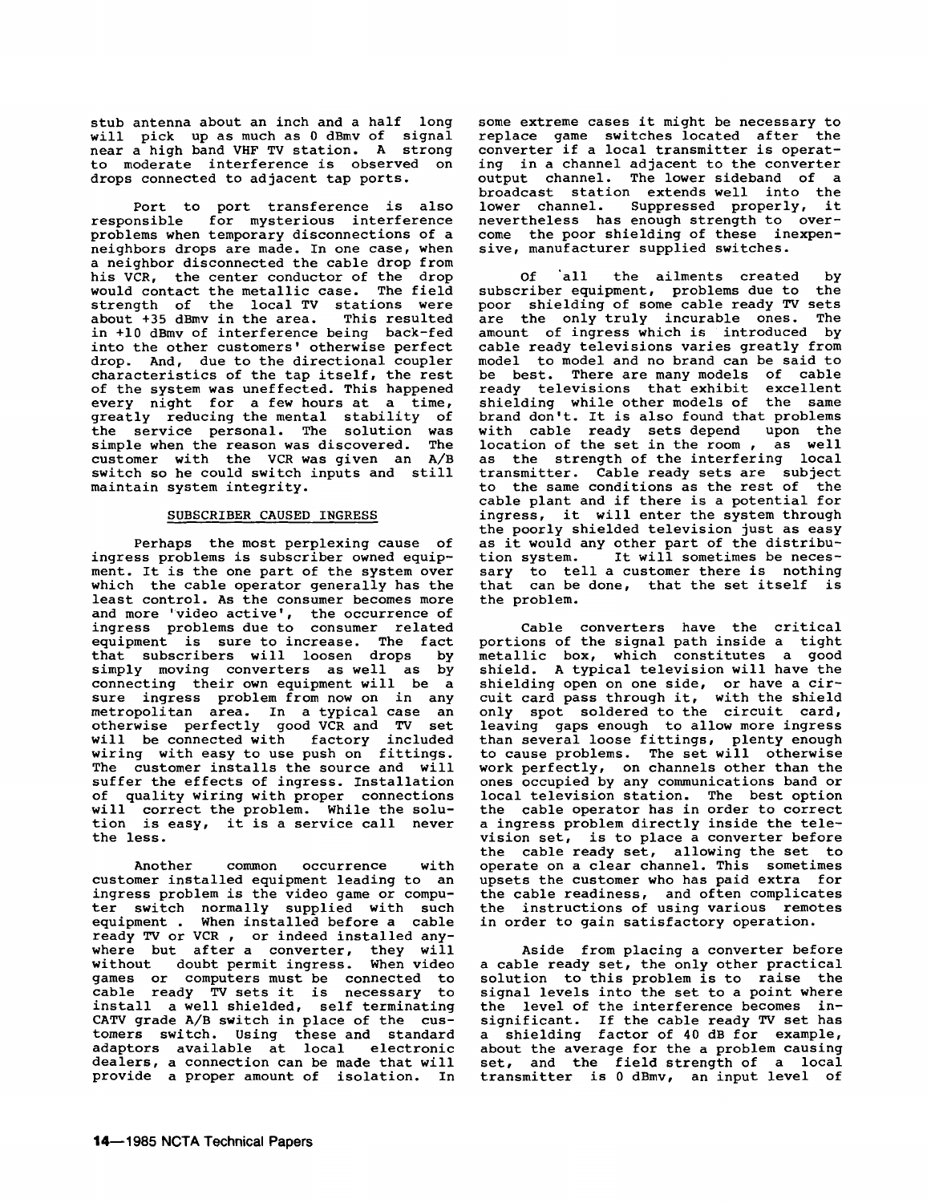stub antenna about an inch and a half long<br>will pick up as much as 0 dBmv of signal near a high band VHF TV station. A strong to moderate interference is observed on drops connected to adjacent tap ports.

Port to port transference is also responsible for mysterious interference problems when temporary disconnections of a neighbors drops are made. In one case, when a neighbor disconnected the cable drop from his VCR, the center conductor of the drop would contact the metallic case. The field strength of the local TV stations were about +35 dBmv in the area. This resulted in +10 dBmv of interference being back-fed into the other customers' otherwise perfect drop. And, due to the directional coupler characteristics of the tap itself, the rest of the system was uneffected. This happened every night for a few hours at a time, greatly reducing the mental stability of the service personal. The solution was simple when the reason was discovered. The simple when the reason was discovered. The<br>customer with the VCR was given an A/B switch so he could switch inputs and still maintain system integrity.

## SUBSCRIBER CAUSED INGRESS

Perhaps the most perplexing cause of ingress problems is subscriber owned equipment. It is the one part of the system over which the cable operator generally has the and more 'video active', the occurrence of ingress problems due to consumer related equipment is sure to increase. The fact that subscribers will loosen drops by simply moving converters as well as by<br>connecting their own equipment will be a sure ingress problem from now on in any metropolitan area. In a typical case an otherwise perfectly good VCR and TV set will be connected with factory included wiring with easy to use push on fittings. The customer installs the source and will suffer the effects of ingress. Installation of quality wiring with proper connections will correct the problem. While the solution is easy, it is a service call never<br>the less.

Another common occurrence with customer installed equipment leading to an ingress problem is the video game or computer switch normally supplied with such<br>equipment . When installed before a cable When installed before a cable ready TV or VCR , or indeed installed anywhere but after a converter, they will without doubt permit ingress. When video games or computers must be connected to cable ready TV sets it is necessary to install a well shielded, self terminating<br>CATV grade A/B switch in place of the cus-CATV grade A/B switch in place of the cus- tomers switch. Using these and standard adaptors available at local electronic dealers, a connection can be made that will provide a proper amount of isolation. In

some extreme cases it might be necessary to replace game switches located after the converter if a local transmitter is operating in a channel adjacent to the converter output channel. The lower sideband of a broadcast station extends well into the lower channel. Suppressed properly, it<br>nevertheless has enough strength to overcome the poor shielding of these inexpensive, manufacturer supplied switches.

Of 'all the ailments created by subscriber equipment, problems due to the<br>poor shielding of some cable ready TV sets are the only truly incurable ones. The amount of ingress which is introduced by cable ready televisions varies greatly from model to model and no brand can be said to be best. There are many models of cable ready televisions that exhibit excellent shielding while other models of the same brand don't. It is also found that problems with cable ready sets depend upon the<br>location of the set in the room, as well as the strength of the interfering local transmitter. Cable ready sets are subject to the same conditions as the rest of the cable plant and if there is a potential for ingress, it will enter the system through<br>the poorly shielded television just as easy as it would any other part of the distribu-<br>tion system. It will sometimes be necesas it would any other part of the distribution system. It will sometimes be neces-<br>sary to tell a customer there is nothing that can be done, that the set itself is the problem.

Cable converters have the critical portions of the signal path inside a tight metallic box, which constitutes a good shield. A typical television will have the shielding open on one side, or have a cir-<br>cuit card pass through it, with the shield only spot soldered to the circuit card, leaving gaps enough to allow more ingress than several loose fittings, plenty enough to cause problems. The set will otherwise work perfectly, on channels other than the ones occupied by any communications band or local television station. The best option the cable operator has in order to correct a ingress problem directly inside the television set, is to place a converter before the cable ready set, allowing the set to operate on a clear channel. This sometimes upsets the customer who has paid extra for the cable readiness, and often complicates the instructions of using various remotes in order to gain satisfactory operation.

Aside from placing a converter before a cable ready set, the only other practical solution to this problem is to raise the signal levels into the set to a point where the level of the interference becomes insignificant. If the cable ready TV set has a shielding factor of 40 dB for example, about the average for the a problem causing set, and the field strength of a local transmitter is 0 dBmv, an input level of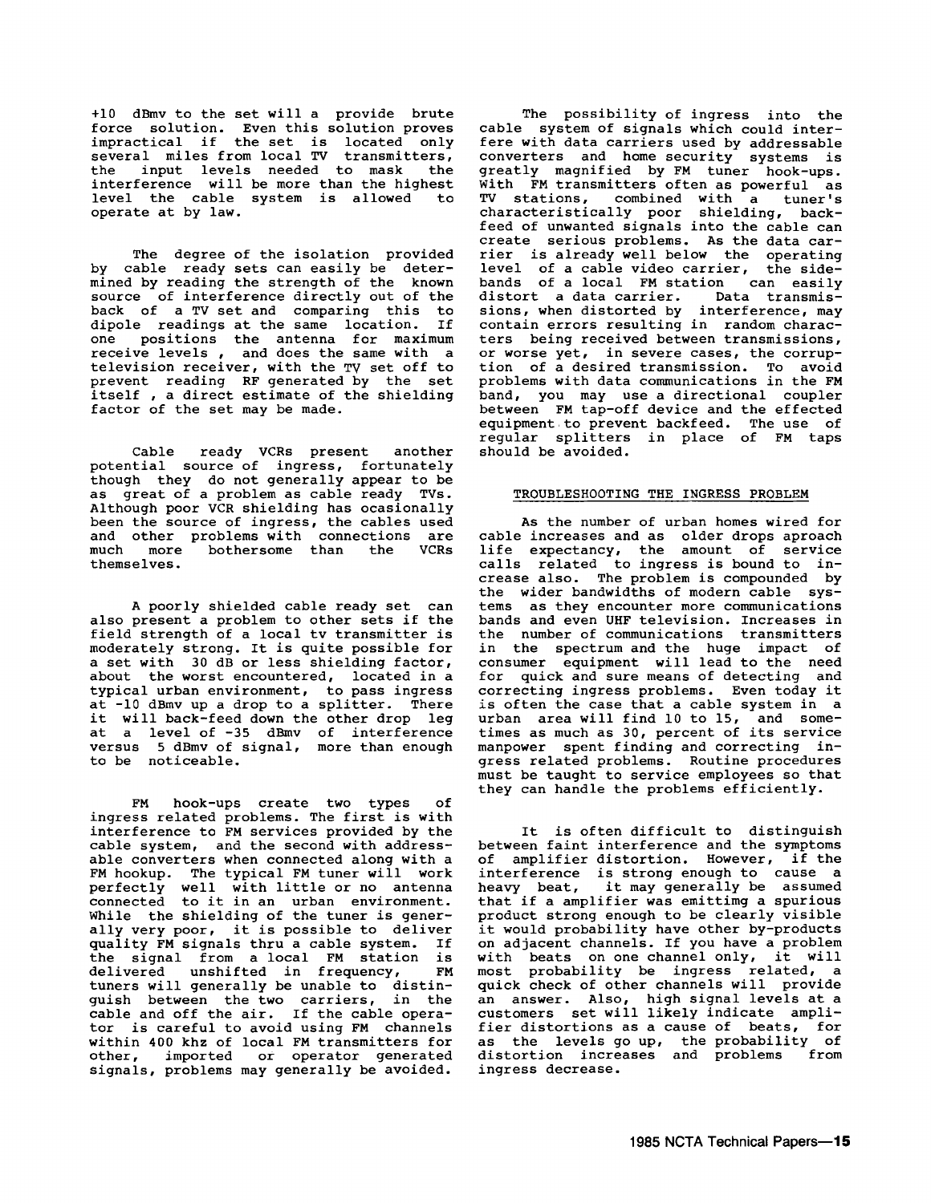+10 dBmv to the set will a provide brute force solution. Even this solution proves impractical if the set is located only several miles from local TV transmitters, the input levels needed to mask the interference will be more than the highest level the cable system is allowed to operate at by law.

The degree of the isolation provided by cable ready sets can easily be determined by reading the strength of the known source of interference directly out of the back of a TV set and comparing this to<br>dipole readings at the same location. If one positions the antenna for maximum<br>receive levels, and does the same with a receive levels , and does the same with a television receiver, with the TV set off to prevent reading RF generated by the set prevent reading ar generated by the set<br>itself, a direct estimate of the shielding factor of the set may be made.

Cable ready VCRs present another potential source of ingress, fortunately though they do not generally appear to be as great of a problem as cable ready TVs. as great of a problem as cable ready TVs.<br>Although poor VCR shielding has ocasionally been the source of ingress, the cables used and other problems with connections are<br>much more bothersome than the VCRs themselves.

A poorly shielded cable ready set can also present a problem to other sets if the field strength of a local tv transmitter is moderately strong. It is quite possible for<br>a set with 30 dB or less shielding factor,<br>about the worst encountered, located in a typical urban environment, to pass ingress at -10 dBmv up a drop to a splitter. There it will back-feed down the other drop leg at a level of -35 dBmv of interference<br>versus 5 dBmv of signal, more than enough to be noticeable.

FM hook-ups create two types of ingress related problems. The first is with interference to FM services provided by the cable system, and the second with addressable converters when connected along with a FM hookup. The typical FM tuner will work perfectly well with little or no antenna connected to it *in* an urban environment. While the shielding of the tuner is generally very poor, it is possible to deliver quality FM signals thru a cable system. If the signal from a local FM station is delivered unshifted *in* frequency, FM delivered unshifted in frequency, FM<br>tuners will generally be unable to distinguish between the two carriers, *in* the guish between the two curriers, in the<br>cable and off the air. If the cable operator is careful to avoid using FM channels within 400 khz of local FM transmitters for other, imported or operator generated signals, problems may generally be avoided.

The possibility of ingress into the cable system of signals which could interfere with data carriers used by addressable converters and home security systems is greatly magnified by FM tuner hook-ups.<br>With FM transmitters often as powerful as TV stations, combined with a tuner's characteristically poor shielding, back-<br>feed of unwanted signals into the cable can feed of unwanted signals into the cable can create serious problems. As the data car- rier is already well below the operating level of a cable video carrier, the sidebands of a local FM station can easily<br>distort a data carrier. Data transmisdistort a data carrier. sions, when distorted by interference, may contain errors resulting in random charac-<br>ters being received between transmissions, or worse yet, in severe cases, the corruption of a desired transmission. To avoid problems with data communications *in* the FM band, you may use a directional coupler between FM tap-off device and the effected equipment to prevent backfeed. The use of regular splitters *in* place of FM taps should be avoided.

### TROUBLESHOOTING THE INGRESS PROBLEM

As the number of urban homes wired for cable increases and as older drops aproach life expectancy, the amount of service calls related to ingress is bound to *in-* crease also. The problem is compounded by the wider bandwidths of modern cable systems as they encounter more communications bands and even UHF television. Increases *in*  the number of communications transmitters *in* the spectrum and the huge impact of consumer equipment will lead to the need for quick and sure means of detecting and correcting ingress problems. Even today it<br>is often the case that a cable system in a urban area will find 10 to 15, and some-<br>times as much as 30, percent of its service manpower spent finding and correcting *in*gress related problems. Routine procedures must be taught to service employees so that they can handle the problems efficiently.

It is often difficult to distinguish between faint interference and the symptoms of amplifier distortion. However, if the interference is strong enough to cause a heavy beat, it may generally be assumed that if a amplifier was emittimg a spurious product strong enough to be clearly visible it would probability have other by-products on adjacent channels. If you have a problem with beats on one channel only, it will most probability be ingress related, a quick check of other channels will provide an answer. Also, high signal levels at a customers set will likely indicate amplifier distortions as a cause of beats, for as the levels go up, the probability of<br>distortion increases and problems from distortion increases and problems ingress decrease.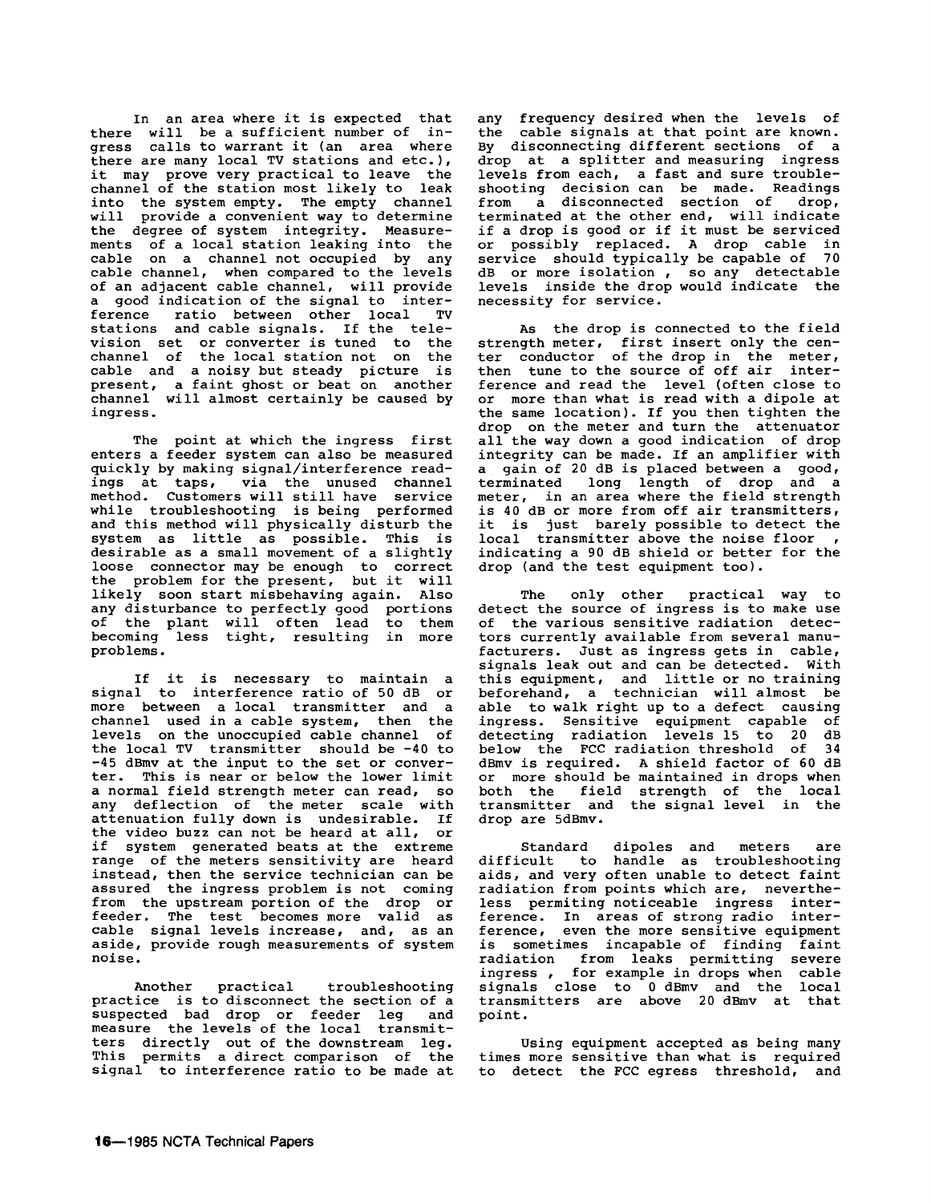In an area where it is expected that there will be a sufficient number of ingress calls to warrant it (an area where there are many local TV stations and etc.), it may prove very practical to leave the channel of the station most likely to leak into the system empty. The empty channel<br>will provide a convenient way to determine provide a convenient way to determine the degree of system integrity. Measurements of a local station leaking into the cable on a channel not occupied by any cable channel, when compared to the levels of an adjacent cable channel, will provide a good indication of the signal to interference ratio between other local TV stations and cable signals. If the television set or converter is tuned to the channel of the local station not on the cable and a noisy but steady picture is present, a faint ghost or beat on another channel will almost certainly be caused by ingress.

The point at which the ingress first enters a feeder system can also be measured quickly by making signal/interference readings at taps, via the unused channel method. Customers will still have service while troubleshooting is being performed and this method will physically disturb the system as little as possible. This is desirable as a small movement of a slightly loose connector may be enough to correct the problem for the present, but it will likely soon start misbehaving again. Also any disturbance to perfectly good portions of the plant will often lead to them becoming less tight, resulting in more problems.

If it is necessary to maintain a signal to interference ratio of 50 dB or more between a local transmitter and a channel used in a cable system, then the levels on the unoccupied cable channel of the local TV transmitter should be -40 to -45 dBmv at the input to the set or conver-<br>ter. This is near or below the lower limit<br>a normal field strength meter can read, so<br>any deflection of the meter scale with attenuation fully down is undesirable. If the video buzz can not be heard at all, or<br>if system generated beats at the extreme if system generated beats at the extreme<br>range of the meters sensitivity are heard instead, then the service technician can be assured the ingress problem is not coming from the upstream portion of the drop or feeder. The test becomes more valid as cable signal levels increase, and, as an aside, provide rough measurements of system noise.

Another practical troubleshooting practice is to disconnect the section of a suspected bad drop or feeder leg and measure the levels of the local transmitters directly out of the downstream leg. This permits a direct comparison of the signal to interference ratio to be made at

any frequency desired when the levels of the cable signals at that point are known. By disconnecting different sections of a drop at a splitter and measuring ingress levels from each, a fast and sure troubleshooting decision can be made. Readings from a disconnected section of drop, terminated at the other end, will indicate<br>if a drop is good or if it must be serviced if a drop is a drop cable in<br>service should typically be capable of 70 service should typically be capable of dB or more isolation , so any detectable levels inside the drop would indicate the necessity for service.

As the drop is connected to the field strength meter, first insert only the cen-<br>ter conductor of the drop in the meter, then tune to the source of off air interference and read the level (often close to or more than what is read with a dipole at the same location). If you then tighten the drop on the meter and turn the attenuator all the way down a good indication of drop integrity can be made. If an amplifier with a gain of 20 dB is placed between a good, terminated long length of drop and a meter, in an area where the field strength is 40 dB or more from off air transmitters, it is just barely possible to detect the local transmitter above the noise floor,<br>indicating a 90 dB shield or better for the drop (and the test equipment too).

The only other practical way to detect the source of ingress is to make use<br>of the various sensitive radiation detec-<br>tors currently available from several manufacturers. Just as ingress gets in cable, signals leak out and can be detected. With signals leak out and can be detected. With<br>this equipment, and little or no training beforehand, a technician will almost be able to walk right up to a defect causing ingress. Sensitive equipment capable of detecting radiation levels 15 to 20 dB below the FCC radiation threshold of 34 dBmv is required. A shield factor of 60 dB or more should be maintained in drops when both the field strength of the local transmitter and the signal level in the drop are 5dBmv.

Standard dipoles and meters are difficult to handle as troubleshooting aids, and very often unable to detect faint radiation from points which are, nevertheless permiting noticeable ingress interference. In areas of strong radio inter-<br>ference, even the more sensitive equipment even the more sensitive equipment is sometimes incapable of finding faint<br>radiation from leaks permitting severe radiation from leaks permitting severe ingress , for example in drops when cable signals close to 0 dBmv and the local transmitters are above 20 dBmv at that point.

Using equipment accepted as being many times more sensitive than what is required to detect the FCC egress threshold, and